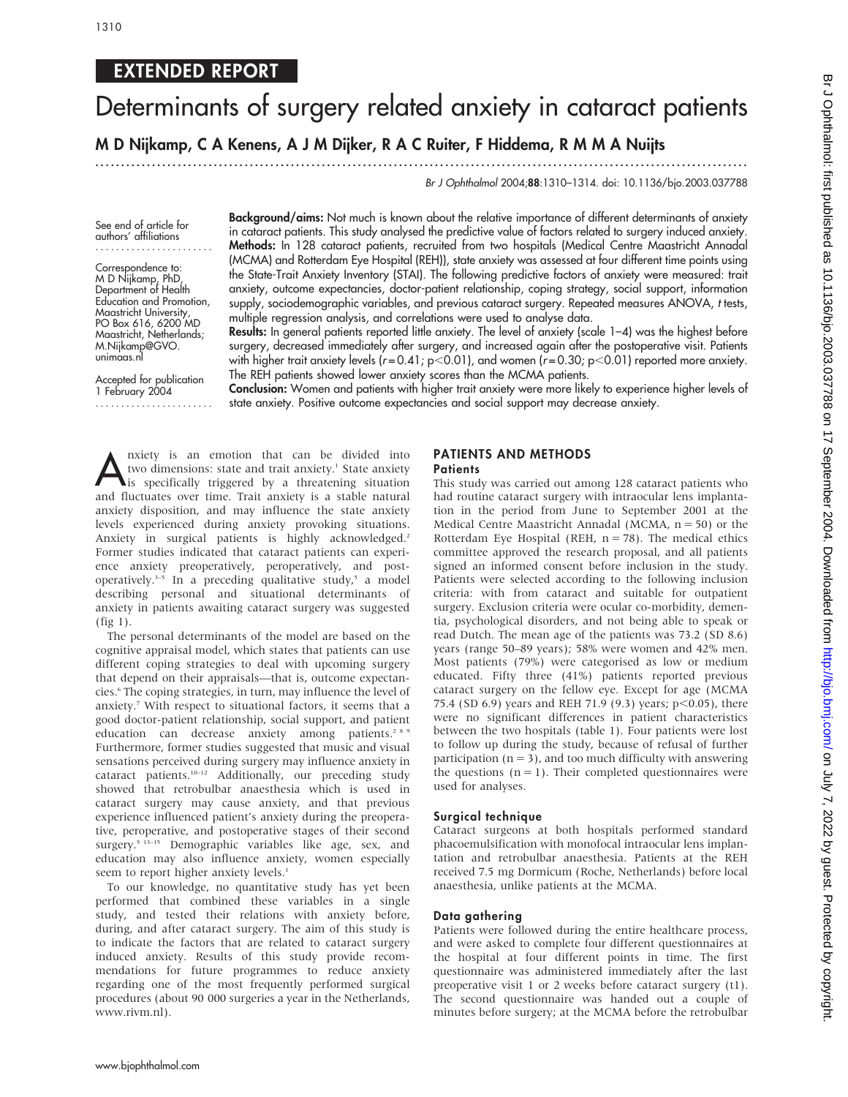## EXTENDED REPORT

# Determinants of surgery related anxiety in cataract patients

M D Nijkamp, C A Kenens, A J M Dijker, R A C Ruiter, F Hiddema, R M M A Nuijts

...............................................................................................................................

Br J Ophthalmol 2004;88:1310–1314. doi: 10.1136/bjo.2003.037788

See end of article for authors' affiliations .......................

Correspondence to: M D Nijkamp, PhD, Department of Health Education and Promotion, Maastricht University, PO Box 616, 6200 MD Maastricht, Netherlands; M.Nijkamp@GVO. unimaas.nl

Accepted for publication 1 February 2004 ....................... Background/aims: Not much is known about the relative importance of different determinants of anxiety in cataract patients. This study analysed the predictive value of factors related to surgery induced anxiety. Methods: In 128 cataract patients, recruited from two hospitals (Medical Centre Maastricht Annadal (MCMA) and Rotterdam Eye Hospital (REH)), state anxiety was assessed at four different time points using the State-Trait Anxiety Inventory (STAI). The following predictive factors of anxiety were measured: trait anxiety, outcome expectancies, doctor-patient relationship, coping strategy, social support, information supply, sociodemographic variables, and previous cataract surgery. Repeated measures ANOVA, t tests, multiple regression analysis, and correlations were used to analyse data.

Results: In general patients reported little anxiety. The level of anxiety (scale 1-4) was the highest before surgery, decreased immediately after surgery, and increased again after the postoperative visit. Patients with higher trait anxiety levels (r=0.41; p<0.01), and women (r=0.30; p<0.01) reported more anxiety. The REH patients showed lower anxiety scores than the MCMA patients.

Conclusion: Women and patients with higher trait anxiety were more likely to experience higher levels of state anxiety. Positive outcome expectancies and social support may decrease anxiety.

Anxiety is an emotion that can be divided into<br>two dimensions: state and trait anxiety.<sup>1</sup> State anxiety<br>is specifically triggered by a threatening situation<br>and fluctuates over time. Trait anyiety is a stable natural two dimensions: state and trait anxiety.<sup>1</sup> State anxiety is specifically triggered by a threatening situation and fluctuates over time. Trait anxiety is a stable natural anxiety disposition, and may influence the state anxiety levels experienced during anxiety provoking situations. Anxiety in surgical patients is highly acknowledged.<sup>2</sup> Former studies indicated that cataract patients can experience anxiety preoperatively, peroperatively, and postoperatively.<sup>3-5</sup> In a preceding qualitative study,<sup>5</sup> a model describing personal and situational determinants of anxiety in patients awaiting cataract surgery was suggested (fig 1).

The personal determinants of the model are based on the cognitive appraisal model, which states that patients can use different coping strategies to deal with upcoming surgery that depend on their appraisals—that is, outcome expectancies.<sup>6</sup> The coping strategies, in turn, may influence the level of anxiety.7 With respect to situational factors, it seems that a good doctor-patient relationship, social support, and patient education can decrease anxiety among patients.<sup>289</sup> Furthermore, former studies suggested that music and visual sensations perceived during surgery may influence anxiety in cataract patients.10–12 Additionally, our preceding study showed that retrobulbar anaesthesia which is used in cataract surgery may cause anxiety, and that previous experience influenced patient's anxiety during the preoperative, peroperative, and postoperative stages of their second surgery.<sup>5 13-15</sup> Demographic variables like age, sex, and education may also influence anxiety, women especially seem to report higher anxiety levels.<sup>1</sup>

To our knowledge, no quantitative study has yet been performed that combined these variables in a single study, and tested their relations with anxiety before, during, and after cataract surgery. The aim of this study is to indicate the factors that are related to cataract surgery induced anxiety. Results of this study provide recommendations for future programmes to reduce anxiety regarding one of the most frequently performed surgical procedures (about 90 000 surgeries a year in the Netherlands, www.rivm.nl).

### PATIENTS AND METHODS

#### **Patients**

This study was carried out among 128 cataract patients who had routine cataract surgery with intraocular lens implantation in the period from June to September 2001 at the Medical Centre Maastricht Annadal (MCMA,  $n = 50$ ) or the Rotterdam Eye Hospital (REH,  $n = 78$ ). The medical ethics committee approved the research proposal, and all patients signed an informed consent before inclusion in the study. Patients were selected according to the following inclusion criteria: with from cataract and suitable for outpatient surgery. Exclusion criteria were ocular co-morbidity, dementia, psychological disorders, and not being able to speak or read Dutch. The mean age of the patients was 73.2 (SD 8.6) years (range 50–89 years); 58% were women and 42% men. Most patients (79%) were categorised as low or medium educated. Fifty three (41%) patients reported previous cataract surgery on the fellow eye. Except for age (MCMA 75.4 (SD 6.9) years and REH 71.9 (9.3) years;  $p<0.05$ ), there were no significant differences in patient characteristics between the two hospitals (table 1). Four patients were lost to follow up during the study, because of refusal of further participation ( $n = 3$ ), and too much difficulty with answering the questions  $(n = 1)$ . Their completed questionnaires were used for analyses.

#### Surgical technique

Cataract surgeons at both hospitals performed standard phacoemulsification with monofocal intraocular lens implantation and retrobulbar anaesthesia. Patients at the REH received 7.5 mg Dormicum (Roche, Netherlands) before local anaesthesia, unlike patients at the MCMA.

#### Data gathering

Patients were followed during the entire healthcare process, and were asked to complete four different questionnaires at the hospital at four different points in time. The first questionnaire was administered immediately after the last preoperative visit 1 or 2 weeks before cataract surgery (t1). The second questionnaire was handed out a couple of minutes before surgery; at the MCMA before the retrobulbar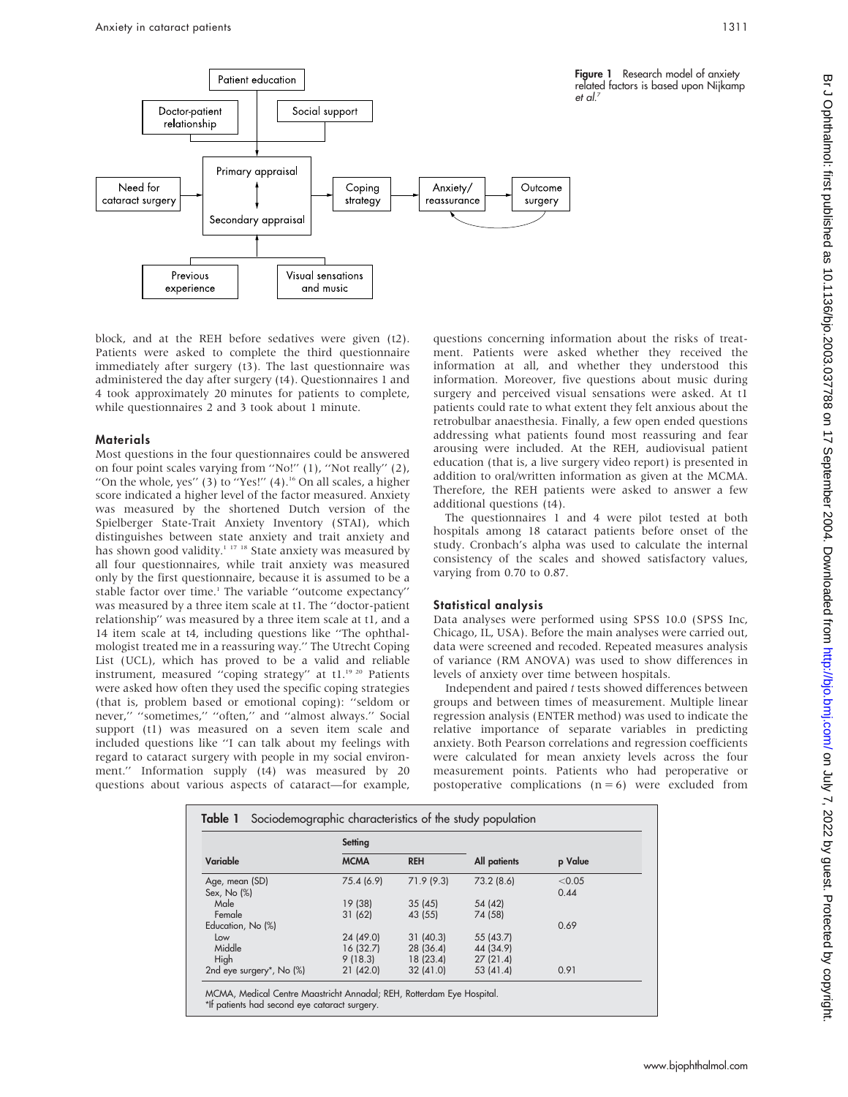

block, and at the REH before sedatives were given (t2). Patients were asked to complete the third questionnaire immediately after surgery (t3). The last questionnaire was administered the day after surgery (t4). Questionnaires 1 and 4 took approximately 20 minutes for patients to complete, while questionnaires 2 and 3 took about 1 minute.

#### Materials

Most questions in the four questionnaires could be answered on four point scales varying from ''No!'' (1), ''Not really'' (2), "On the whole, yes"  $(3)$  to "Yes!"  $(4)$ .<sup>16</sup> On all scales, a higher score indicated a higher level of the factor measured. Anxiety was measured by the shortened Dutch version of the Spielberger State-Trait Anxiety Inventory (STAI), which distinguishes between state anxiety and trait anxiety and has shown good validity.<sup>1 17 18</sup> State anxiety was measured by all four questionnaires, while trait anxiety was measured only by the first questionnaire, because it is assumed to be a stable factor over time.<sup>1</sup> The variable "outcome expectancy" was measured by a three item scale at t1. The ''doctor-patient relationship'' was measured by a three item scale at t1, and a 14 item scale at t4, including questions like ''The ophthalmologist treated me in a reassuring way.'' The Utrecht Coping List (UCL), which has proved to be a valid and reliable instrument, measured "coping strategy" at t1.<sup>19 20</sup> Patients were asked how often they used the specific coping strategies (that is, problem based or emotional coping): ''seldom or never," "sometimes," "often," and "almost always." Social support (t1) was measured on a seven item scale and included questions like ''I can talk about my feelings with regard to cataract surgery with people in my social environment.'' Information supply (t4) was measured by 20 questions about various aspects of cataract—for example,

questions concerning information about the risks of treatment. Patients were asked whether they received the information at all, and whether they understood this information. Moreover, five questions about music during surgery and perceived visual sensations were asked. At t1 patients could rate to what extent they felt anxious about the retrobulbar anaesthesia. Finally, a few open ended questions addressing what patients found most reassuring and fear arousing were included. At the REH, audiovisual patient education (that is, a live surgery video report) is presented in addition to oral/written information as given at the MCMA. Therefore, the REH patients were asked to answer a few additional questions (t4).

The questionnaires 1 and 4 were pilot tested at both hospitals among 18 cataract patients before onset of the study. Cronbach's alpha was used to calculate the internal consistency of the scales and showed satisfactory values, varying from 0.70 to 0.87.

#### Statistical analysis

Data analyses were performed using SPSS 10.0 (SPSS Inc, Chicago, IL, USA). Before the main analyses were carried out, data were screened and recoded. Repeated measures analysis of variance (RM ANOVA) was used to show differences in levels of anxiety over time between hospitals.

Independent and paired t tests showed differences between groups and between times of measurement. Multiple linear regression analysis (ENTER method) was used to indicate the relative importance of separate variables in predicting anxiety. Both Pearson correlations and regression coefficients were calculated for mean anxiety levels across the four measurement points. Patients who had peroperative or postoperative complications  $(n = 6)$  were excluded from

|                               | Setting     |            |              |                |
|-------------------------------|-------------|------------|--------------|----------------|
| Variable                      | <b>MCMA</b> | <b>REH</b> | All patients | p Value        |
| Age, mean (SD)<br>Sex, No (%) | 75.4 (6.9)  | 71.9(9.3)  | 73.2 (8.6)   | < 0.05<br>0.44 |
| Male                          | 19 (38)     | 35(45)     | 54 (42)      |                |
| Female                        | 31(62)      | 43 (55)    | 74 (58)      |                |
| Education, No (%)             |             |            |              | 0.69           |
| Low                           | 24 (49.0)   | 31(40.3)   | 55 (43.7)    |                |
| Middle                        | 16 (32.7)   | 28(36.4)   | 44 (34.9)    |                |
| High                          | 9(18.3)     | 18(23.4)   | 27(21.4)     |                |
| 2nd eye surgery*, No (%)      | 21(42.0)    | 32(41.0)   | 53 (41.4)    | 0.91           |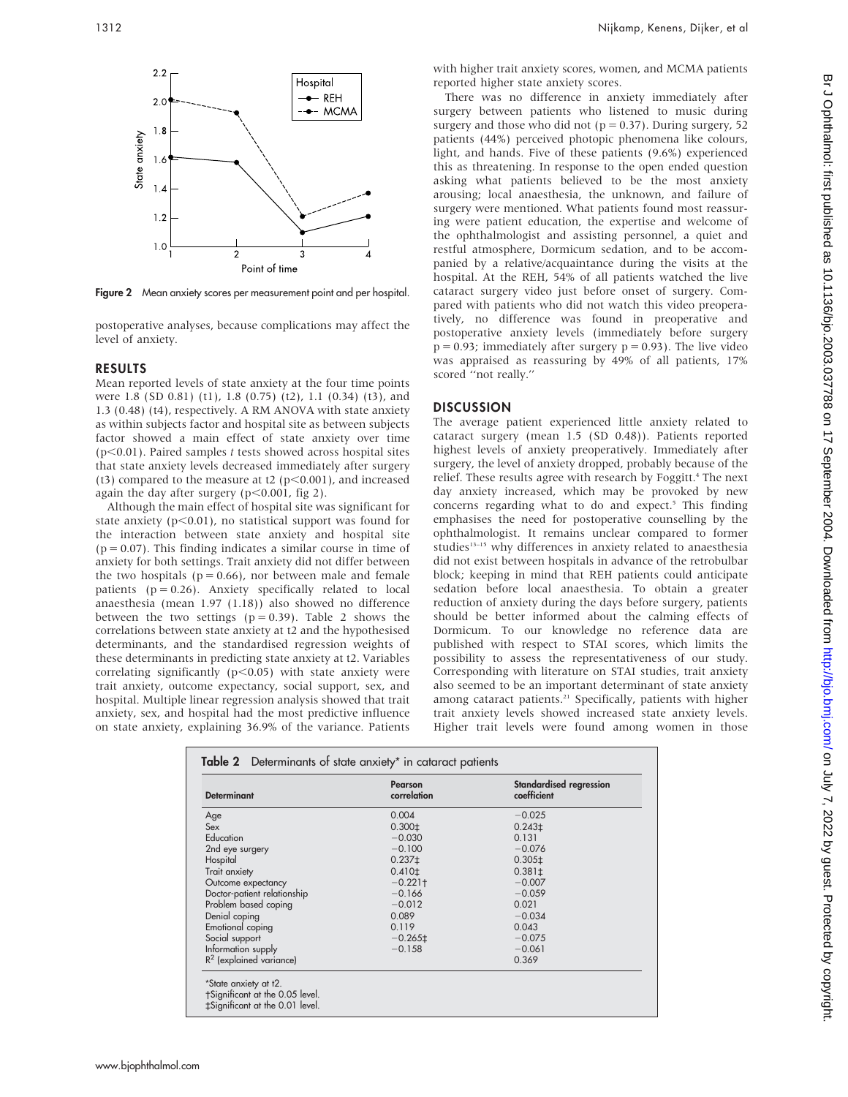

Figure 2 Mean anxiety scores per measurement point and per hospital.

postoperative analyses, because complications may affect the level of anxiety.

#### RESULTS

Mean reported levels of state anxiety at the four time points were 1.8 (SD 0.81) (t1), 1.8 (0.75) (t2), 1.1 (0.34) (t3), and 1.3 (0.48) (t4), respectively. A RM ANOVA with state anxiety as within subjects factor and hospital site as between subjects factor showed a main effect of state anxiety over time  $(p<0.01)$ . Paired samples t tests showed across hospital sites that state anxiety levels decreased immediately after surgery (t3) compared to the measure at t2 ( $p<0.001$ ), and increased again the day after surgery ( $p<0.001$ , fig 2).

Although the main effect of hospital site was significant for state anxiety ( $p<0.01$ ), no statistical support was found for the interaction between state anxiety and hospital site  $(p = 0.07)$ . This finding indicates a similar course in time of anxiety for both settings. Trait anxiety did not differ between the two hospitals ( $p = 0.66$ ), nor between male and female patients  $(p = 0.26)$ . Anxiety specifically related to local anaesthesia (mean 1.97 (1.18)) also showed no difference between the two settings ( $p = 0.39$ ). Table 2 shows the correlations between state anxiety at t2 and the hypothesised determinants, and the standardised regression weights of these determinants in predicting state anxiety at t2. Variables correlating significantly ( $p<0.05$ ) with state anxiety were trait anxiety, outcome expectancy, social support, sex, and hospital. Multiple linear regression analysis showed that trait anxiety, sex, and hospital had the most predictive influence on state anxiety, explaining 36.9% of the variance. Patients

with higher trait anxiety scores, women, and MCMA patients reported higher state anxiety scores.

There was no difference in anxiety immediately after surgery between patients who listened to music during surgery and those who did not ( $p = 0.37$ ). During surgery, 52 patients (44%) perceived photopic phenomena like colours, light, and hands. Five of these patients (9.6%) experienced this as threatening. In response to the open ended question asking what patients believed to be the most anxiety arousing; local anaesthesia, the unknown, and failure of surgery were mentioned. What patients found most reassuring were patient education, the expertise and welcome of the ophthalmologist and assisting personnel, a quiet and restful atmosphere, Dormicum sedation, and to be accompanied by a relative/acquaintance during the visits at the hospital. At the REH, 54% of all patients watched the live cataract surgery video just before onset of surgery. Compared with patients who did not watch this video preoperatively, no difference was found in preoperative and postoperative anxiety levels (immediately before surgery  $p = 0.93$ ; immediately after surgery  $p = 0.93$ ). The live video was appraised as reassuring by 49% of all patients, 17% scored ''not really.''

#### DISCUSSION

The average patient experienced little anxiety related to cataract surgery (mean 1.5 (SD 0.48)). Patients reported highest levels of anxiety preoperatively. Immediately after surgery, the level of anxiety dropped, probably because of the relief. These results agree with research by Foggitt.<sup>4</sup> The next day anxiety increased, which may be provoked by new concerns regarding what to do and expect.<sup>5</sup> This finding emphasises the need for postoperative counselling by the ophthalmologist. It remains unclear compared to former studies<sup>13-15</sup> why differences in anxiety related to anaesthesia did not exist between hospitals in advance of the retrobulbar block; keeping in mind that REH patients could anticipate sedation before local anaesthesia. To obtain a greater reduction of anxiety during the days before surgery, patients should be better informed about the calming effects of Dormicum. To our knowledge no reference data are published with respect to STAI scores, which limits the possibility to assess the representativeness of our study. Corresponding with literature on STAI studies, trait anxiety also seemed to be an important determinant of state anxiety among cataract patients.<sup>21</sup> Specifically, patients with higher trait anxiety levels showed increased state anxiety levels. Higher trait levels were found among women in those

| <b>Determinant</b>          | Pearson<br>correlation | Standardised regression<br>coefficient |
|-----------------------------|------------------------|----------------------------------------|
| Age                         | 0.004                  | $-0.025$                               |
| Sex                         | 0.300 <sub>1</sub>     | 0.243 <sub>‡</sub>                     |
| Education                   | $-0.030$               | 0.131                                  |
| 2nd eye surgery             | $-0.100$               | $-0.076$                               |
| Hospital                    | 0.237 <sub>1</sub>     | 0.305 <sub>1</sub>                     |
| Trait anxiety               | 0.410 <sup>±</sup>     | $0.381 \pm$                            |
| Outcome expectancy          | $-0.221$ †             | $-0.007$                               |
| Doctor-patient relationship | $-0.166$               | $-0.059$                               |
| Problem based coping        | $-0.012$               | 0.021                                  |
| Denial coping               | 0.089                  | $-0.034$                               |
| Emotional coping            | 0.119                  | 0.043                                  |
| Social support              | $-0.265 \pm$           | $-0.075$                               |
| Information supply          | $-0.158$               | $-0.061$                               |
| $R^2$ (explained variance)  |                        | 0.369                                  |

Br J Ophthalmol: first published as 10.1136/bjo.2003.037788 on 17 September 2004. Downloaded from http://bjo.bmj.com/ on July 7, 2022 by guest. Protected by copyright br Jon July 1, 2022 by guest. Protected by guest. Publishight. Http://bjo.bmj.com/ Br J Ophthalmol: first published as 10.1136/bjo.2003.037788 on 17 September 2022 by guest. Protected by guest. Protected by guest. Protecte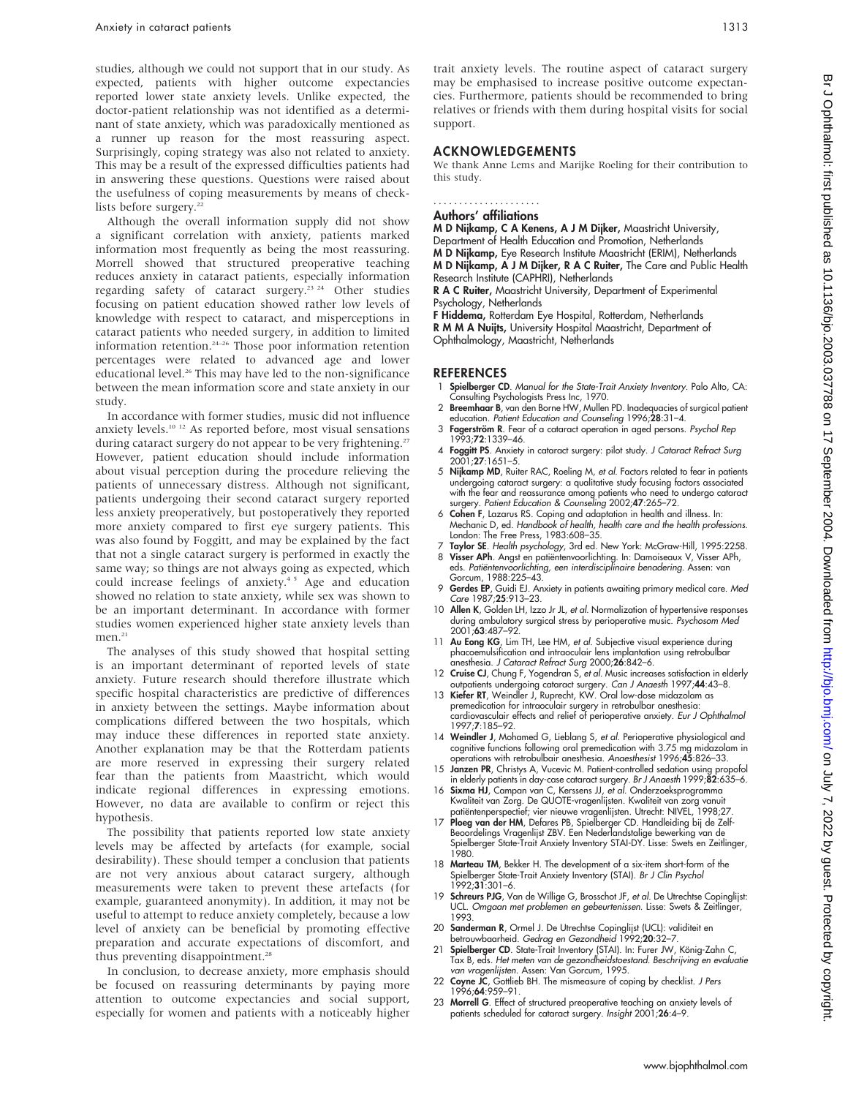studies, although we could not support that in our study. As expected, patients with higher outcome expectancies reported lower state anxiety levels. Unlike expected, the doctor-patient relationship was not identified as a determinant of state anxiety, which was paradoxically mentioned as a runner up reason for the most reassuring aspect. Surprisingly, coping strategy was also not related to anxiety. This may be a result of the expressed difficulties patients had in answering these questions. Questions were raised about the usefulness of coping measurements by means of checklists before surgery.<sup>22</sup>

Although the overall information supply did not show a significant correlation with anxiety, patients marked information most frequently as being the most reassuring. Morrell showed that structured preoperative teaching reduces anxiety in cataract patients, especially information regarding safety of cataract surgery.<sup>23 24</sup> Other studies focusing on patient education showed rather low levels of knowledge with respect to cataract, and misperceptions in cataract patients who needed surgery, in addition to limited information retention.24–26 Those poor information retention percentages were related to advanced age and lower educational level.<sup>26</sup> This may have led to the non-significance between the mean information score and state anxiety in our study.

In accordance with former studies, music did not influence anxiety levels.10 12 As reported before, most visual sensations during cataract surgery do not appear to be very frightening.<sup>27</sup> However, patient education should include information about visual perception during the procedure relieving the patients of unnecessary distress. Although not significant, patients undergoing their second cataract surgery reported less anxiety preoperatively, but postoperatively they reported more anxiety compared to first eye surgery patients. This was also found by Foggitt, and may be explained by the fact that not a single cataract surgery is performed in exactly the same way; so things are not always going as expected, which could increase feelings of anxiety.<sup>45</sup> Age and education showed no relation to state anxiety, while sex was shown to be an important determinant. In accordance with former studies women experienced higher state anxiety levels than men. $21$ 

The analyses of this study showed that hospital setting is an important determinant of reported levels of state anxiety. Future research should therefore illustrate which specific hospital characteristics are predictive of differences in anxiety between the settings. Maybe information about complications differed between the two hospitals, which may induce these differences in reported state anxiety. Another explanation may be that the Rotterdam patients are more reserved in expressing their surgery related fear than the patients from Maastricht, which would indicate regional differences in expressing emotions. However, no data are available to confirm or reject this hypothesis.

The possibility that patients reported low state anxiety levels may be affected by artefacts (for example, social desirability). These should temper a conclusion that patients are not very anxious about cataract surgery, although measurements were taken to prevent these artefacts (for example, guaranteed anonymity). In addition, it may not be useful to attempt to reduce anxiety completely, because a low level of anxiety can be beneficial by promoting effective preparation and accurate expectations of discomfort, and thus preventing disappointment.<sup>28</sup>

In conclusion, to decrease anxiety, more emphasis should be focused on reassuring determinants by paying more attention to outcome expectancies and social support, especially for women and patients with a noticeably higher

trait anxiety levels. The routine aspect of cataract surgery may be emphasised to increase positive outcome expectancies. Furthermore, patients should be recommended to bring relatives or friends with them during hospital visits for social support.

#### ACKNOWLEDGEMENTS

We thank Anne Lems and Marijke Roeling for their contribution to this study.

#### Authors' affiliations .....................

M D Nijkamp, C A Kenens, A J M Dijker, Maastricht University, Department of Health Education and Promotion, Netherlands M D Nijkamp, Eye Research Institute Maastricht (ERIM), Netherlands M D Nijkamp, A J M Dijker, R A C Ruiter, The Care and Public Health Research Institute (CAPHRI), Netherlands

R A C Ruiter, Maastricht University, Department of Experimental Psychology, Netherlands

F Hiddema, Rotterdam Eye Hospital, Rotterdam, Netherlands R M M A Nuijts, University Hospital Maastricht, Department of Ophthalmology, Maastricht, Netherlands

#### **REFERENCES**

- Spielberger CD. Manual for the State-Trait Anxiety Inventory. Palo Alto, CA: Consulting Psychologists Press Inc, 1970.
- 2 Breemhaar B, van den Borne HW, Mullen PD. Inadequacies of surgical patient education. Patient Education and Counseling 1996;28:31–4.
- 3 Fagerström R. Fear of a cataract operation in aged persons. Psychol Rep 1993;72:1339–46.
- 4 Foggitt PS. Anxiety in cataract surgery: pilot study. J Cataract Refract Surg 2001;27:1651–5.
- 5 Nijkamp MD, Ruiter RAC, Roeling M, et al. Factors related to fear in patients undergoing cataract surgery: a qualitative study focusing factors associated with the fear and reassurance among patients who need to undergo cataract<br>surgery. Patient Education & Counseling 2002;47:265–72.<br>6 Cohen F, Lazarus RS. Coping and adaptation in health and illness. In:<br>Mechanic D, ed. Hand
- London: The Free Press, 1983:608–35.
- 7 Taylor SE. Health psychology, 3rd ed. New York: McGraw-Hill, 1995:2258. 8 Visser APh. Angst en patiëntenvoorlichting. In: Damoiseaux V, Visser APh,<br>eds. *Patiëntenvoorlichting, een interdisciplinaire benadering.* Assen: van Gorcum, 1988:225–43.
- 9 Gerdes EP, Guidi EJ. Anxiety in patients awaiting primary medical care. Med Care 1987;25:913–23.
- 10 Allen K, Golden LH, Izzo Jr JL, et al. Normalization of hypertensive responses during ambulatory surgical stress by perioperative music. Psychosom Med 2001;63:487–92.
- 11 Au Eong KG, Lim TH, Lee HM, et al. Subjective visual experience during phacoemulsification and intraoculair lens implantation using retrobulbar anesthesia. J Cataract Refract Surg 2000;26:842–6.
- 12 Cruise CJ, Chung F, Yogendran S, et al. Music increases satisfaction in elderly outpatients undergoing cataract surgery. Can J Anaesth 1997;44:43–8. 13 Kiefer RT, Weindler J, Ruprecht, KW. Oral low-dose midazolam as
- premedication for intraoculair surgery in retrobulbar anesthesia: cardiovasculair effects and relief of perioperative anxiety. Eur J Ophthalmol 1997;7:185–92.
- 14 Weindler J, Mohamed G, Lieblang S, et al. Perioperative physiological and cognitive functions following oral premedication with 3.75 mg midazolam in operations with retrobulbair anesthesia. Anaesthesist 1996;45:826–33.
- 15 **Janzen PR**, Christys A, Vucevic M. Patient-controlled sedation using propofol<br>in elderly patients in day-case cataract surgery. *Br J Anaesth* 1999;**82**:635–6.<br>16 **Sixma HJ**, Campan van C, Kerssens JJ, *et al*. Onderzo
- Kwaliteit van Zorg. De QUOTE-vragenlijsten. Kwaliteit van zorg vanuit patiëntenperspectief; vier nieuwe vragenlijsten. Utrecht: NIVEL, 1998;27
- 17 Ploeg van der HM, Defares PB, Spielberger CD. Handleiding bij de Zelf-Beoordelings Vragenlijst ZBV. Een Nederlandstalige bewerking van de Spielberger State-Trait Anxiety Inventory STAI-DY. Lisse: Swets en Zeitlinger, 1980.
- 18 Marteau TM, Bekker H. The development of a six-item short-form of the Spielberger State-Trait Anxiety Inventory (STAI). Br J Clin Psychol 1992;31:301–6.
- 19 Schreurs PJG, Van de Willige G, Brosschot JF, et al. De Utrechtse Copinglijst: UCL. Omgaan met problemen en gebeurtenissen. Lisse: Swets & Zeitlinger, 1993.
- 20 Sanderman R, Ormel J. De Utrechtse Copinglijst (UCL): validiteit en betrouwbaarheid. Gedrag en Gezondheid 1992;20:32–7.
- Spielberger CD. State-Trait Inventory (STAI). In: Furer JW, König-Zahn C, Tax B, eds. Het meten van de gezondheidstoestand. Beschrijving en evaluatie van vragenlijsten. Assen: Van Gorcum, 1995.
- 22 Coyne JC, Gottlieb BH. The mismeasure of coping by checklist. J Pers<br>1996;64:959–91.
- 23 Morrell G. Effect of structured preoperative teaching on anxiety levels of patients scheduled for cataract surgery. Insight 2001;26:4-9.